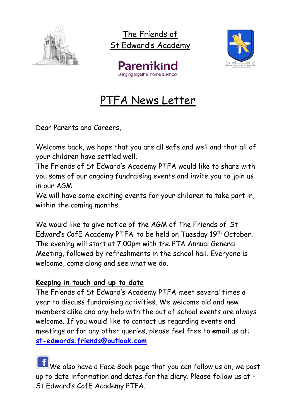

The Friends of St Edward's Academy



## PTFA News Letter

Dear Parents and Careers,

Welcome back, we hope that you are all safe and well and that all of your children have settled well.

The Friends of St Edward's Academy PTFA would like to share with you some of our ongoing fundraising events and invite you to join us in our AGM.

We will have some exciting events for your children to take part in, within the coming months.

We would like to give notice of the AGM of The Friends of St Edward's CofE Academy PTFA to be held on Tuesday 19<sup>th</sup> October. The evening will start at 7.00pm with the PTA Annual General Meeting, followed by refreshments in the school hall. Everyone is welcome, come along and see what we do.

## **Keeping in touch and up to date**

The Friends of St Edward's Academy PTFA meet several times a year to discuss fundraising activities. We welcome old and new members alike and any help with the out of school events are always welcome. If you would like to contact us regarding events and meetings or for any other queries, please feel free to **email** us at: **[st-edwards.friends@outlook.com](mailto:st-edwards.friends@outlook.com)**

We also have a Face Book page that you can follow us on, we post up to date information and dates for the diary. Please follow us at - St Edward's CofE Academy PTFA.